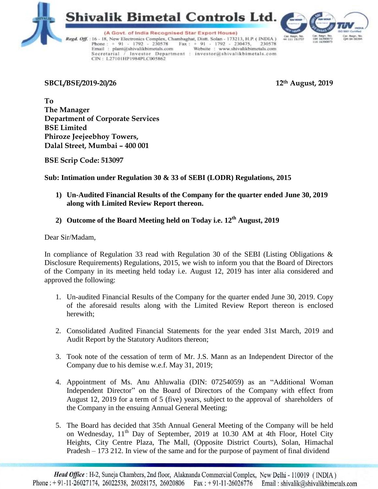



(A Govt. of India Recognised Star Export House)

Regd. Off.: 16 - 18, New Electronics Complex, Chambaghat, Distt. Solan - 173213, H.P. (INDIA) Phone:  $+91 - 1792 - 230578$  Fax:  $+91 - 1792 - 230475$ , 230578<br>Email: plant@shivalikbimetals.com Website: www.shivalikbimetals.com Secretarial / Investor Department : investor@shivalikbimetals.com CIN: L27101HP1984PLC005862

**SBCL/BSE/2019-20/26 12th August, 2019**

**To The Manager Department of Corporate Services BSE Limited Phiroze Jeejeebhoy Towers, Dalal Street, Mumbai – 400 001**

**BSE Scrip Code: 513097**

# **Sub: Intimation under Regulation 30 & 33 of SEBI (LODR) Regulations, 2015**

- **1) Un-Audited Financial Results of the Company for the quarter ended June 30, 2019 along with Limited Review Report thereon.**
- **2) Outcome of the Board Meeting held on Today i.e. 12th August, 2019**

Dear Sir/Madam,

In compliance of Regulation 33 read with Regulation 30 of the SEBI (Listing Obligations  $\&$ Disclosure Requirements) Regulations, 2015, we wish to inform you that the Board of Directors of the Company in its meeting held today i.e. August 12, 2019 has inter alia considered and approved the following:

- 1. Un-audited Financial Results of the Company for the quarter ended June 30, 2019. Copy of the aforesaid results along with the Limited Review Report thereon is enclosed herewith;
- 2. Consolidated Audited Financial Statements for the year ended 31st March, 2019 and Audit Report by the Statutory Auditors thereon;
- 3. Took note of the cessation of term of Mr. J.S. Mann as an Independent Director of the Company due to his demise w.e.f. May 31, 2019;
- 4. Appointment of Ms. Anu Ahluwalia (DIN: 07254059) as an "Additional Woman Independent Director" on the Board of Directors of the Company with effect from August 12, 2019 for a term of 5 (five) years, subject to the approval of shareholders of the Company in the ensuing Annual General Meeting;
- 5. The Board has decided that 35th Annual General Meeting of the Company will be held on Wednesday, 11<sup>th</sup> Day of September, 2019 at 10.30 AM at 4th Floor, Hotel City Heights, City Centre Plaza, The Mall, (Opposite District Courts), Solan, Himachal Pradesh – 173 212. In view of the same and for the purpose of payment of final dividend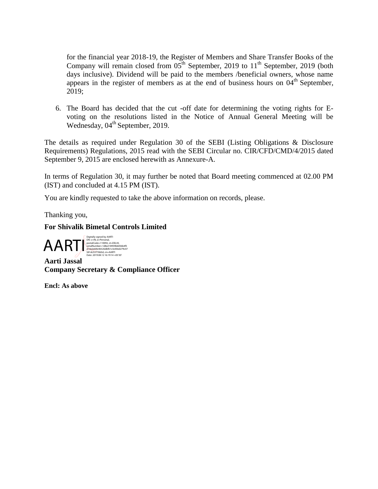for the financial year 2018-19, the Register of Members and Share Transfer Books of the Company will remain closed from  $05<sup>th</sup>$  September, 2019 to  $11<sup>th</sup>$  September, 2019 (both days inclusive). Dividend will be paid to the members /beneficial owners, whose name appears in the register of members as at the end of business hours on  $04<sup>th</sup>$  September, 2019;

6. The Board has decided that the cut -off date for determining the voting rights for Evoting on the resolutions listed in the Notice of Annual General Meeting will be Wednesday, 04<sup>th</sup> September, 2019.

The details as required under Regulation 30 of the SEBI (Listing Obligations & Disclosure Requirements) Regulations, 2015 read with the SEBI Circular no. CIR/CFD/CMD/4/2015 dated September 9, 2015 are enclosed herewith as Annexure-A.

In terms of Regulation 30, it may further be noted that Board meeting commenced at 02.00 PM (IST) and concluded at 4.15 PM (IST).

You are kindly requested to take the above information on records, please.

Thanking you,

## **For Shivalik Bimetal Controls Limited**

 $\left.\bigoplus \bigoplus \bigoplus \bigoplus \limits_{\substack{\text{Srel}_2 \text{subG0} \text{subG0} \text{subG18} \text{subG14} \text{subG14} \text{subG14} \text{subG26} \text{subG18} \text{subG26} \text{subG18} \text{subG36} \text{subG36} \text{subG48} \text{subG48} \text{subG48} \text{subG48} \text{subG48} \text{subG48} \text{subG48} \text{subG48} \text{subG48} \text{subG48} \text{subG48} \text{subG48$ 

**Aarti Jassal Company Secretary & Compliance Officer**

**Encl: As above**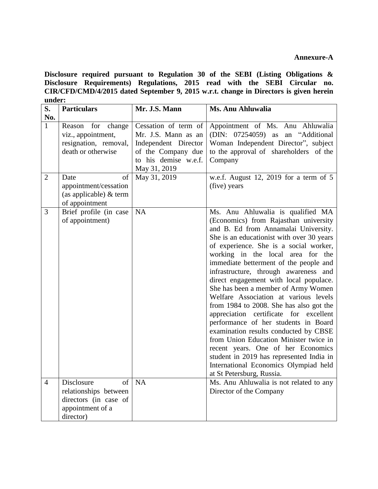### **Annexure-A**

**Disclosure required pursuant to Regulation 30 of the SEBI (Listing Obligations & Disclosure Requirements) Regulations, 2015 read with the SEBI Circular no. CIR/CFD/CMD/4/2015 dated September 9, 2015 w.r.t. change in Directors is given herein under:**

| S.<br>No.      | <b>Particulars</b>                                                                                  | Mr. J.S. Mann                                                                                                                     | Ms. Anu Ahluwalia                                                                                                                                                                                                                                                                                                                                                                                                                                                                                                                                                                                                                                                                                                                                                                                                                   |
|----------------|-----------------------------------------------------------------------------------------------------|-----------------------------------------------------------------------------------------------------------------------------------|-------------------------------------------------------------------------------------------------------------------------------------------------------------------------------------------------------------------------------------------------------------------------------------------------------------------------------------------------------------------------------------------------------------------------------------------------------------------------------------------------------------------------------------------------------------------------------------------------------------------------------------------------------------------------------------------------------------------------------------------------------------------------------------------------------------------------------------|
| $\mathbf{1}$   | Reason for change<br>viz., appointment,<br>resignation, removal,<br>death or otherwise              | Cessation of term of<br>Mr. J.S. Mann as an<br>Independent Director<br>of the Company due<br>to his demise w.e.f.<br>May 31, 2019 | Appointment of Ms. Anu Ahluwalia<br>(DIN: 07254059) as an "Additional<br>Woman Independent Director", subject<br>to the approval of shareholders of the<br>Company                                                                                                                                                                                                                                                                                                                                                                                                                                                                                                                                                                                                                                                                  |
| $\overline{2}$ | of<br>Date<br>appointment/cessation<br>(as applicable) $&$ term<br>of appointment                   | May 31, 2019                                                                                                                      | w.e.f. August 12, 2019 for a term of $5$<br>(five) years                                                                                                                                                                                                                                                                                                                                                                                                                                                                                                                                                                                                                                                                                                                                                                            |
| $\overline{3}$ | Brief profile (in case<br>of appointment)                                                           | NA                                                                                                                                | Ms. Anu Ahluwalia is qualified MA<br>(Economics) from Rajasthan university<br>and B. Ed from Annamalai University.<br>She is an educationist with over 30 years<br>of experience. She is a social worker,<br>working in the local area for the<br>immediate betterment of the people and<br>infrastructure, through awareness and<br>direct engagement with local populace.<br>She has been a member of Army Women<br>Welfare Association at various levels<br>from 1984 to 2008. She has also got the<br>appreciation certificate for excellent<br>performance of her students in Board<br>examination results conducted by CBSE<br>from Union Education Minister twice in<br>recent years. One of her Economics<br>student in 2019 has represented India in<br>International Economics Olympiad held<br>at St Petersburg, Russia. |
| $\overline{4}$ | Disclosure<br>of<br>relationships between<br>directors (in case of<br>appointment of a<br>director) | <b>NA</b>                                                                                                                         | Ms. Anu Ahluwalia is not related to any<br>Director of the Company                                                                                                                                                                                                                                                                                                                                                                                                                                                                                                                                                                                                                                                                                                                                                                  |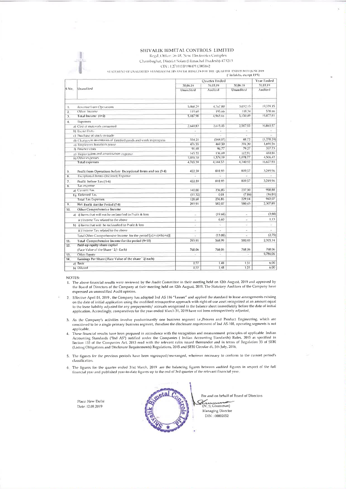#### SHIVALIK BIMETAL CONTROLS LIMITED Regd. Office: 16-18, New Electronics Complex Chambaghat, District Solan (Himachal Pradesh)-173213 CIN : 1.27101HP1984PLC005862

STATEMENT OF UNAUDITED STANDALONE HNANCIAL RESULTS FOR THE QUARTER ENDED 2011 JUNE 2019 (Fin lakhs, except FPS)

| S No. |                                                                   | Quarter Ended |          |             | Year Ended   |
|-------|-------------------------------------------------------------------|---------------|----------|-------------|--------------|
|       |                                                                   | 30.06.19      | 31.03.19 | 30.06.18    | 31.03.19     |
|       | Unaudited                                                         | Unaudited     | Audited  | Unaudited   | Audited      |
| 1.    | Revenue from Operations                                           | 5,068.29      | 4.767.80 | 5,032.15    | 19,339.15    |
| 2.    | Other Income                                                      | 119.69        | 195.66   | 118.34      | 538 66       |
| 3.    | Total Income (1+2)                                                | 5,18798       | 4.963.46 | $5.150 + 9$ | 19,877.81    |
| 4.    | Expenses                                                          |               |          |             |              |
|       | a) Cost of materials consumed                                     | 2.641.83      | 2.615.45 | 2.58705     | 10,865.57    |
|       | b) Excise Duty                                                    | ù,            | ä.       | v           |              |
|       | c) Purchase of stock-in-trade                                     |               | u        |             |              |
|       | d) Changes in inventories of finished goods and work in progress  | 334.21        | (54807)  | 88.72       | (1, 278, 29) |
|       | e) Employees benefit expense                                      | 476.55        | 469.50   | 394.30      | 1,691.56     |
|       | f) Finance costs                                                  | 91.48         | 96.77    | 79 27       | 357.73       |
|       | e) Depreciation and amortisation expense                          | 145 22        | 136.69   | 112.81      | 484 86       |
|       | It) Other expenses                                                | 1,076 10      | 1,374.19 | 1,078.77    | 4,506.42     |
|       | <b>Total expenses</b>                                             | 4.765.39      | 4,144.53 | 4,340.92    | 16,627.85    |
| 5.    | Profit from Operations before Exceptional Items and tax (3-4)     | 422.59        | 818.93   | 809 57      | 3,249.96     |
| 6.    | Exceptional fiems- (Income)/Expense                               |               |          |             |              |
| 7.    | Profit before Tax (5-6)                                           | 422 59        | 818 93   | 809 57      | 3.249 96     |
| 8.    | <b>Tax expense</b>                                                |               |          |             |              |
|       | a) Current Tax                                                    | 140.00        | 236.85   | 237 00      | 958.88       |
|       | b) Deferred Tax                                                   | (11.32)       | 0.01     | (786)       | (1681)       |
|       | <b>Total Tax Expenses</b>                                         | 128 68        | 236.86   | 229 14      | 942.07       |
| 9.    | Net Profit for the Period (7-8)                                   | 293.91        | 582.07   | 580 43      | 2,307.89     |
| 10.   | Other Comprehensive Income                                        |               |          |             |              |
|       | a) if Items that will not be reclassified to Profit & loss        | ÷             | (1968)   |             | (3.88)       |
|       | ii 1 Income Tax related to the above                              | ×             | 6.60     | $\sim$      | 113          |
|       | b) i) Items that will be reclassified to Profit & loss            | u             |          | ÷           |              |
|       | ii ) Income Tax related to the above                              | $\sim$        | ÷        | ÷           |              |
|       | Total Other Comprehensive Income for the period [a(i+ii)+b(i+ii)] |               | (13.08)  |             | (2.75)       |
| 11.   | Total Comprehensive Income for the period (9+10)                  | 293.91        | 568.99   | 580.43      | 2,305.14     |
| 12.   | Paid-up equity share capital                                      |               |          |             |              |
|       | (Face Value of the Share 2/- Each)                                | 768.06        | 768.06   | 768.06      | 768.06       |
| 13.   | Other Equity                                                      | ٠             | Q.       | ÷           | 9,786.06     |
| 14.   | Earnings Per Share (Face Value of the share ' 2/ each)            |               |          |             |              |
|       | a) Basic                                                          | 0.77          | 1.48     | 1.51        | 6.00.        |
|       | b) Diluted                                                        | 0.77          | 1.48     | 1.51        | 6.00         |

NOTES:

The above financial results were reviewed by the Audit Committee in their meeting held on 12th August, 2019 and approved by the Board of Directors of the Company at their meeting held on 12th August, 2019. The Statutory Au expressed an unmodified Audit opinion.

2. Effective April 01, 2019, the Company has adopted Ind AS 116 "Leases" and applied the standard to lease arrangements existing on the date of initial application using the modified retrospective approach with right-of-use asset recognized at an amount equal to the lease liability adjusted for any prepayments/ accruals recognized in the balance sheet immediately before the date of initial application. Accordingly, comparatives for the year ended March 31, 2019 have not been retrospectively adjusted

3. As the Company's activities involve predominantly one business segment i.e., Process and Product Engineering, which are considered to be a single primary business segment, therefore the disclosure requirement of Ind AS-108, operating segments is not applicable.

a ppintane.<br>4. These financial results have been prepared in accordance with the recognition and measurement principles of applicable Indian<br>4. These financial results have been prepared in accordance with the relevant con (Listing Obligations and Disclosure Requirements) Regulations, 2015 and SEBI Circular dt. 5th July, 2016

5. The figures for the previous periods have been regrouped/rearranged, wherever necessary to conform to the current period's classification.

6. The figures for the quarter ended 31st March, 2019 are the balancing figures between audited figures in respect of the full financial year and published year-to-date figures up to the end of 3rd quarter of the relevant financial year.

Place: New Delhi Date: 12.08.2019



For and on behalf of Board of Directors (N. S. Ghumman) Managing Director DIN: 00002052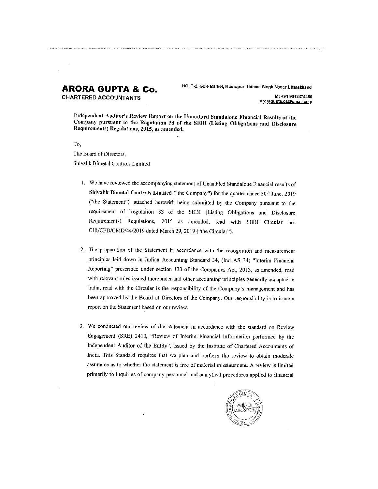### **ARORA GUPTA & Co. CHARTERED ACCOUNTANTS**

HO: T-2, Gole Market, Rudrapur, Udham Singh Nagar, Uttarakhand

M: +91 9012474456 aroragupta.ca@gmail.com

Independent Auditor's Review Report on the Unaudited Standalone Financial Results of the Company pursuant to the Regulation 33 of the SEBI (Listing Obligations and Disclosure Requirements) Regulations, 2015, as amended.

To,

The Board of Directors, Shivalik Bimetal Controls Limited

- 1. We have reviewed the accompanying statement of Unaudited Standalone Financial results of Shivalik Bimetal Controls Limited ("the Company") for the quarter ended 30<sup>th</sup> June, 2019 ("the Statement"), attached herewith being submitted by the Company pursuant to the requirement of Regulation 33 of the SEBI (Listing Obligations and Disclosure Requirements) Regulations, 2015 as amended, read with SEBI Circular no. CIR/CFD/CMD/44/2019 dated March 29, 2019 ("the Circular").
- 2. The preparation of the Statement in accordance with the recognition and measurement principles laid down in Indian Accounting Standard 34, (Ind AS 34) "Interim Financial Reporting" prescribed under section 133 of the Companies Act, 2013, as amended, read with relevant rules issued thereunder and other accounting principles generally accepted in India, read with the Circular is the responsibility of the Company's management and has been approved by the Board of Directors of the Company. Our responsibility is to issue a report on the Statement based on our review.
- 3. We conducted our review of the statement in accordance with the standard on Review Engagement (SRE) 2410, "Review of Interim Financial Information performed by the Independent Auditor of the Entity", issued by the Institute of Chartered Accountants of India. This Standard requires that we plan and perform the review to obtain moderate assurance as to whether the statement is free of material misstatement. A review is limited primarily to inquiries of company personnel and analytical procedures applied to financial